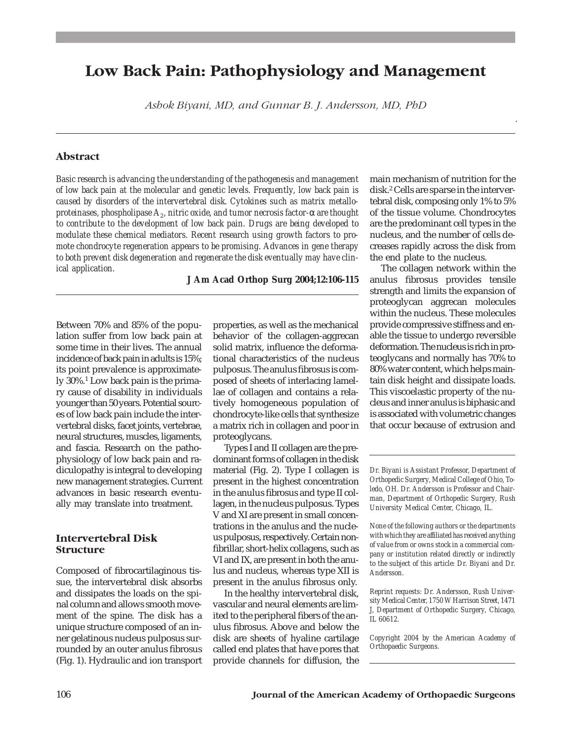# **Low Back Pain: Pathophysiology and Management**

*Ashok Biyani, MD, and Gunnar B. J. Andersson, MD, PhD*

### **Abstract**

*Basic research is advancing the understanding of the pathogenesis and management of low back pain at the molecular and genetic levels. Frequently, low back pain is caused by disorders of the intervertebral disk. Cytokines such as matrix metalloproteinases, phospholipase A2, nitric oxide, and tumor necrosis factor-*α *are thought to contribute to the development of low back pain. Drugs are being developed to modulate these chemical mediators. Recent research using growth factors to promote chondrocyte regeneration appears to be promising. Advances in gene therapy to both prevent disk degeneration and regenerate the disk eventually may have clinical application.*

**J Am Acad Orthop Surg 2004;12:106-115**

Between 70% and 85% of the population suffer from low back pain at some time in their lives. The annual incidence of back pain in adults is 15%; its point prevalence is approximately 30%.1 Low back pain is the primary cause of disability in individuals younger than 50 years. Potential sources of low back pain include the intervertebral disks, facet joints, vertebrae, neural structures, muscles, ligaments, and fascia. Research on the pathophysiology of low back pain and radiculopathy is integral to developing new management strategies. Current advances in basic research eventually may translate into treatment.

## **Intervertebral Disk Structure**

Composed of fibrocartilaginous tissue, the intervertebral disk absorbs and dissipates the loads on the spinal column and allows smooth movement of the spine. The disk has a unique structure composed of an inner gelatinous nucleus pulposus surrounded by an outer anulus fibrosus (Fig. 1). Hydraulic and ion transport

properties, as well as the mechanical behavior of the collagen-aggrecan solid matrix, influence the deformational characteristics of the nucleus pulposus. The anulus fibrosus is composed of sheets of interlacing lamellae of collagen and contains a relatively homogeneous population of chondrocyte-like cells that synthesize a matrix rich in collagen and poor in proteoglycans.

Types I and II collagen are the predominant forms of collagen in the disk material (Fig. 2). Type I collagen is present in the highest concentration in the anulus fibrosus and type II collagen, in the nucleus pulposus. Types V and XI are present in small concentrations in the anulus and the nucleus pulposus, respectively. Certain nonfibrillar, short-helix collagens, such as VI and IX, are present in both the anulus and nucleus, whereas type XII is present in the anulus fibrosus only.

In the healthy intervertebral disk, vascular and neural elements are limited to the peripheral fibers of the anulus fibrosus. Above and below the disk are sheets of hyaline cartilage called end plates that have pores that provide channels for diffusion, the main mechanism of nutrition for the disk.2 Cells are sparse in the intervertebral disk, composing only 1% to 5% of the tissue volume. Chondrocytes are the predominant cell types in the nucleus, and the number of cells decreases rapidly across the disk from the end plate to the nucleus.

.

The collagen network within the anulus fibrosus provides tensile strength and limits the expansion of proteoglycan aggrecan molecules within the nucleus. These molecules provide compressive stiffness and enable the tissue to undergo reversible deformation. The nucleus is rich in proteoglycans and normally has 70% to 80% water content, which helps maintain disk height and dissipate loads. This viscoelastic property of the nucleus and inner anulus is biphasic and is associated with volumetric changes that occur because of extrusion and

*Reprint requests: Dr. Andersson, Rush University Medical Center, 1750 W Harrison Street, 1471 J, Department of Orthopedic Surgery, Chicago, IL 60612.*

*Copyright 2004 by the American Academy of Orthopaedic Surgeons.*

*Dr. Biyani is Assistant Professor, Department of Orthopedic Surgery, Medical College of Ohio, Toledo, OH. Dr. Andersson is Professor and Chairman, Department of Orthopedic Surgery, Rush University Medical Center, Chicago, IL.*

*None of the following authors or the departments with which they are affiliated has received anything of value from or owns stock in a commercial company or institution related directly or indirectly to the subject of this article: Dr. Biyani and Dr. Andersson.*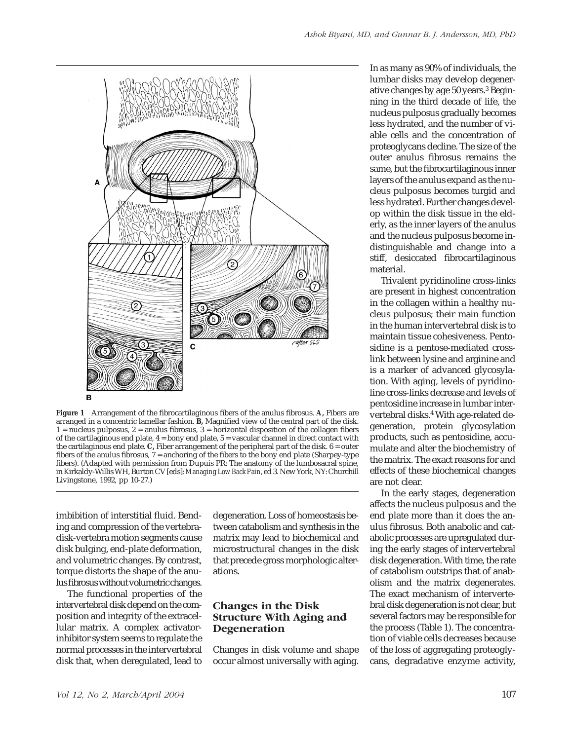



**Figure 1** Arrangement of the fibrocartilaginous fibers of the anulus fibrosus. **A,** Fibers are arranged in a concentric lamellar fashion. **B,** Magnified view of the central part of the disk.  $1$  = nucleus pulposus,  $2$  = anulus fibrosus,  $3$  = horizontal disposition of the collagen fibers of the cartilaginous end plate,  $4 = \text{bony}$  end plate,  $5 = \text{vascular}$  channel in direct contact with the cartilaginous end plate. **C,** Fiber arrangement of the peripheral part of the disk. 6 = outer fibers of the anulus fibrosus, 7 = anchoring of the fibers to the bony end plate (Sharpey-type fibers). (Adapted with permission from Dupuis PR: The anatomy of the lumbosacral spine, in Kirkaldy-Willis WH, Burton CV [eds]:*Managing Low Back Pain*, ed 3. New York, NY: Churchill Livingstone, 1992, pp 10-27.)

imbibition of interstitial fluid. Bending and compression of the vertebradisk-vertebra motion segments cause disk bulging, end-plate deformation, and volumetric changes. By contrast, torque distorts the shape of the anulus fibrosus without volumetric changes.

The functional properties of the intervertebral disk depend on the composition and integrity of the extracellular matrix. A complex activatorinhibitor system seems to regulate the normal processes in the intervertebral disk that, when deregulated, lead to

degeneration. Loss of homeostasis between catabolism and synthesis in the matrix may lead to biochemical and microstructural changes in the disk that precede gross morphologic alterations.

## **Changes in the Disk Structure With Aging and Degeneration**

Changes in disk volume and shape occur almost universally with aging.

In as many as 90% of individuals, the lumbar disks may develop degenerative changes by age 50 years.3 Beginning in the third decade of life, the nucleus pulposus gradually becomes less hydrated, and the number of viable cells and the concentration of proteoglycans decline. The size of the outer anulus fibrosus remains the same, but the fibrocartilaginous inner layers of the anulus expand as the nucleus pulposus becomes turgid and less hydrated. Further changes develop within the disk tissue in the elderly, as the inner layers of the anulus and the nucleus pulposus become indistinguishable and change into a stiff, desiccated fibrocartilaginous material.

Trivalent pyridinoline cross-links are present in highest concentration in the collagen within a healthy nucleus pulposus; their main function in the human intervertebral disk is to maintain tissue cohesiveness. Pentosidine is a pentose-mediated crosslink between lysine and arginine and is a marker of advanced glycosylation. With aging, levels of pyridinoline cross-links decrease and levels of pentosidine increase in lumbar intervertebral disks.<sup>4</sup> With age-related degeneration, protein glycosylation products, such as pentosidine, accumulate and alter the biochemistry of the matrix. The exact reasons for and effects of these biochemical changes are not clear.

In the early stages, degeneration affects the nucleus pulposus and the end plate more than it does the anulus fibrosus. Both anabolic and catabolic processes are upregulated during the early stages of intervertebral disk degeneration. With time, the rate of catabolism outstrips that of anabolism and the matrix degenerates. The exact mechanism of intervertebral disk degeneration is not clear, but several factors may be responsible for the process (Table 1). The concentration of viable cells decreases because of the loss of aggregating proteoglycans, degradative enzyme activity,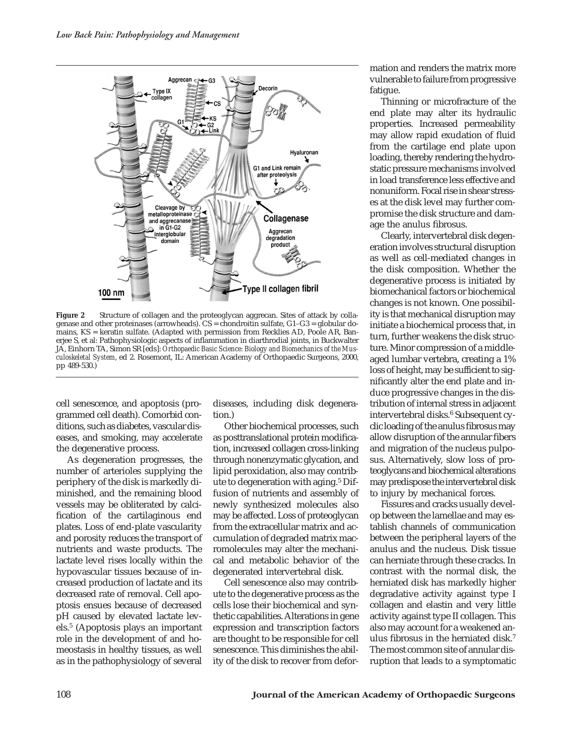

**Figure 2** Structure of collagen and the proteoglycan aggrecan. Sites of attack by collagenase and other proteinases (arrowheads). CS = chondroitin sulfate, G1–G3 = globular domains, KS = keratin sulfate. (Adapted with permission from Recklies AD, Poole AR, Banerjee S, et al: Pathophysiologic aspects of inflammation in diarthrodial joints, in Buckwalter JA, Einhorn TA, Simon SR [eds]: *Orthopaedic Basic Science: Biology and Biomechanics of the Musculoskeletal System*, ed 2. Rosemont, IL: American Academy of Orthopaedic Surgeons, 2000, pp 489-530.)

cell senescence, and apoptosis (programmed cell death). Comorbid conditions, such as diabetes, vascular diseases, and smoking, may accelerate the degenerative process.

As degeneration progresses, the number of arterioles supplying the periphery of the disk is markedly diminished, and the remaining blood vessels may be obliterated by calcification of the cartilaginous end plates. Loss of end-plate vascularity and porosity reduces the transport of nutrients and waste products. The lactate level rises locally within the hypovascular tissues because of increased production of lactate and its decreased rate of removal. Cell apoptosis ensues because of decreased pH caused by elevated lactate levels.5 (Apoptosis plays an important role in the development of and homeostasis in healthy tissues, as well as in the pathophysiology of several

diseases, including disk degeneration.)

Other biochemical processes, such as posttranslational protein modification, increased collagen cross-linking through nonenzymatic glycation, and lipid peroxidation, also may contribute to degeneration with aging.5 Diffusion of nutrients and assembly of newly synthesized molecules also may be affected. Loss of proteoglycan from the extracellular matrix and accumulation of degraded matrix macromolecules may alter the mechanical and metabolic behavior of the degenerated intervertebral disk.

Cell senescence also may contribute to the degenerative process as the cells lose their biochemical and synthetic capabilities. Alterations in gene expression and transcription factors are thought to be responsible for cell senescence. This diminishes the ability of the disk to recover from deformation and renders the matrix more vulnerable to failure from progressive fatigue.

Thinning or microfracture of the end plate may alter its hydraulic properties. Increased permeability may allow rapid exudation of fluid from the cartilage end plate upon loading, thereby rendering the hydrostatic pressure mechanisms involved in load transference less effective and nonuniform. Focal rise in shear stresses at the disk level may further compromise the disk structure and damage the anulus fibrosus.

Clearly, intervertebral disk degeneration involves structural disruption as well as cell-mediated changes in the disk composition. Whether the degenerative process is initiated by biomechanical factors or biochemical changes is not known. One possibility is that mechanical disruption may initiate a biochemical process that, in turn, further weakens the disk structure. Minor compression of a middleaged lumbar vertebra, creating a 1% loss of height, may be sufficient to significantly alter the end plate and induce progressive changes in the distribution of internal stress in adjacent intervertebral disks.<sup>6</sup> Subsequent cyclic loading of the anulus fibrosus may allow disruption of the annular fibers and migration of the nucleus pulposus. Alternatively, slow loss of proteoglycans and biochemical alterations may predispose the intervertebral disk to injury by mechanical forces.

Fissures and cracks usually develop between the lamellae and may establish channels of communication between the peripheral layers of the anulus and the nucleus. Disk tissue can herniate through these cracks. In contrast with the normal disk, the herniated disk has markedly higher degradative activity against type I collagen and elastin and very little activity against type II collagen. This also may account for a weakened anulus fibrosus in the herniated disk.7 The most common site of annular disruption that leads to a symptomatic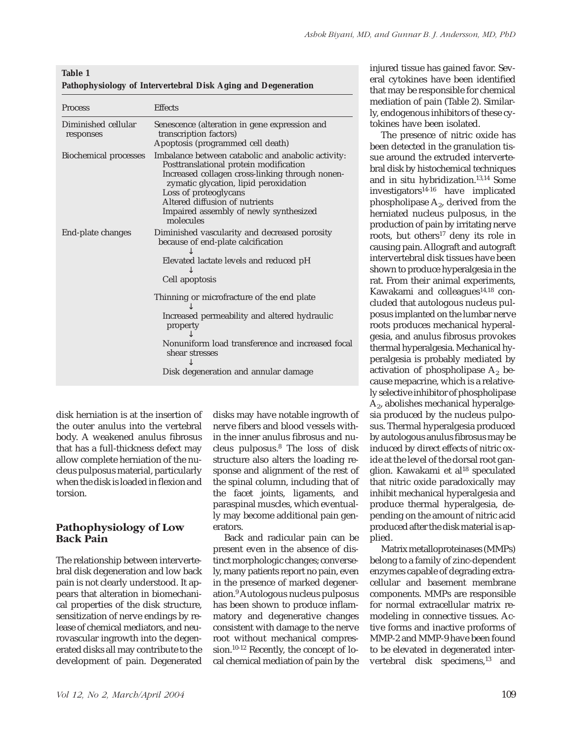| Table 1                                                       |
|---------------------------------------------------------------|
| Pathophysiology of Intervertebral Disk Aging and Degeneration |

| <b>Process</b>                   | <b>Effects</b>                                                                                                                                                                                                                                                                                             |
|----------------------------------|------------------------------------------------------------------------------------------------------------------------------------------------------------------------------------------------------------------------------------------------------------------------------------------------------------|
| Diminished cellular<br>responses | Senescence (alteration in gene expression and<br>transcription factors)<br>Apoptosis (programmed cell death)                                                                                                                                                                                               |
| <b>Biochemical processes</b>     | Imbalance between catabolic and anabolic activity:<br>Posttranslational protein modification<br>Increased collagen cross-linking through nonen-<br>zymatic glycation, lipid peroxidation<br>Loss of proteoglycans<br>Altered diffusion of nutrients<br>Impaired assembly of newly synthesized<br>molecules |
| End-plate changes                | Diminished vascularity and decreased porosity<br>because of end-plate calcification<br>Elevated lactate levels and reduced pH<br>Cell apoptosis                                                                                                                                                            |
|                                  | Thinning or microfracture of the end plate<br>Increased permeability and altered hydraulic<br>property<br>Nonuniform load transference and increased focal<br>shear stresses<br>Disk degeneration and annular damage                                                                                       |

disk herniation is at the insertion of the outer anulus into the vertebral body. A weakened anulus fibrosus that has a full-thickness defect may allow complete herniation of the nucleus pulposus material, particularly when the disk is loaded in flexion and torsion.

## **Pathophysiology of Low Back Pain**

The relationship between intervertebral disk degeneration and low back pain is not clearly understood. It appears that alteration in biomechanical properties of the disk structure, sensitization of nerve endings by release of chemical mediators, and neurovascular ingrowth into the degenerated disks all may contribute to the development of pain. Degenerated disks may have notable ingrowth of nerve fibers and blood vessels within the inner anulus fibrosus and nucleus pulposus.8 The loss of disk structure also alters the loading response and alignment of the rest of the spinal column, including that of the facet joints, ligaments, and paraspinal muscles, which eventually may become additional pain generators.

Back and radicular pain can be present even in the absence of distinct morphologic changes; conversely, many patients report no pain, even in the presence of marked degeneration.9 Autologous nucleus pulposus has been shown to produce inflammatory and degenerative changes consistent with damage to the nerve root without mechanical compression.10-12 Recently, the concept of local chemical mediation of pain by the

injured tissue has gained favor. Several cytokines have been identified that may be responsible for chemical mediation of pain (Table 2). Similarly, endogenous inhibitors of these cytokines have been isolated.

The presence of nitric oxide has been detected in the granulation tissue around the extruded intervertebral disk by histochemical techniques and in situ hybridization.13,14 Some investigators14-16 have implicated phospholipase  $A_2$ , derived from the herniated nucleus pulposus, in the production of pain by irritating nerve roots, but others<sup>17</sup> deny its role in causing pain. Allograft and autograft intervertebral disk tissues have been shown to produce hyperalgesia in the rat. From their animal experiments, Kawakami and colleagues<sup>14,18</sup> concluded that autologous nucleus pulposus implanted on the lumbar nerve roots produces mechanical hyperalgesia, and anulus fibrosus provokes thermal hyperalgesia. Mechanical hyperalgesia is probably mediated by activation of phospholipase  $A_2$  because mepacrine, which is a relatively selective inhibitor of phospholipase  $A<sub>2</sub>$ , abolishes mechanical hyperalgesia produced by the nucleus pulposus. Thermal hyperalgesia produced by autologous anulus fibrosus may be induced by direct effects of nitric oxide at the level of the dorsal root ganglion. Kawakami et al<sup>18</sup> speculated that nitric oxide paradoxically may inhibit mechanical hyperalgesia and produce thermal hyperalgesia, depending on the amount of nitric acid produced after the disk material is applied.

Matrix metalloproteinases (MMPs) belong to a family of zinc-dependent enzymes capable of degrading extracellular and basement membrane components. MMPs are responsible for normal extracellular matrix remodeling in connective tissues. Active forms and inactive proforms of MMP-2 and MMP-9 have been found to be elevated in degenerated intervertebral disk specimens,<sup>13</sup> and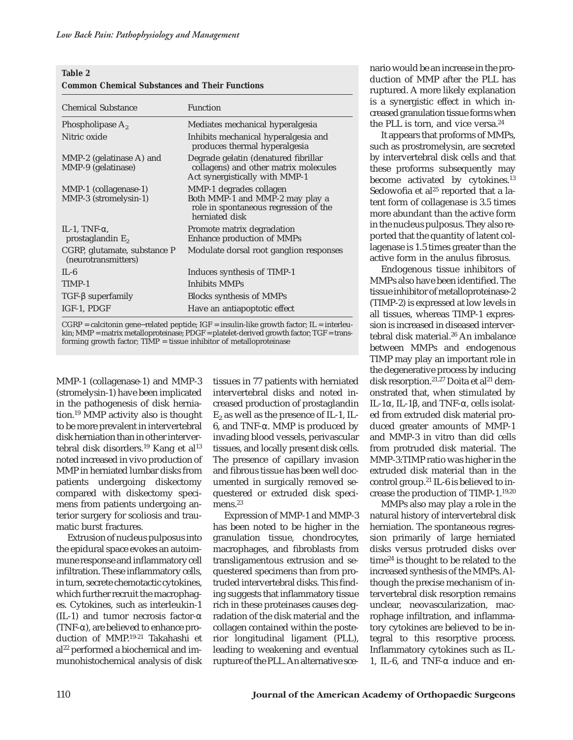| Table 2                                               |  |  |
|-------------------------------------------------------|--|--|
| <b>Common Chemical Substances and Their Functions</b> |  |  |

| <b>Chemical Substance</b>                             | <b>Function</b>                                                                                                       |
|-------------------------------------------------------|-----------------------------------------------------------------------------------------------------------------------|
| Phospholipase A <sub>2</sub>                          | Mediates mechanical hyperalgesia                                                                                      |
| Nitric oxide                                          | Inhibits mechanical hyperalgesia and<br>produces thermal hyperalgesia                                                 |
| MMP-2 (gelatinase A) and<br>MMP-9 (gelatinase)        | Degrade gelatin (denatured fibrillar<br>collagens) and other matrix molecules<br>Act synergistically with MMP-1       |
| MMP-1 (collagenase-1)<br>MMP-3 (stromelysin-1)        | MMP-1 degrades collagen<br>Both MMP-1 and MMP-2 may play a<br>role in spontaneous regression of the<br>herniated disk |
| IL-1, TNF- $\alpha$ ,<br>prostaglandin E <sub>2</sub> | Promote matrix degradation<br>Enhance production of MMPs                                                              |
| CGRP, glutamate, substance P<br>(neurotransmitters)   | Modulate dorsal root ganglion responses                                                                               |
| $\Pi - 6$                                             | Induces synthesis of TIMP-1                                                                                           |
| TIMP-1                                                | Inhibits MMPs                                                                                                         |
| $TGF-\beta superfamily$                               | Blocks synthesis of MMPs                                                                                              |
| IGF-1, PDGF                                           | Have an antiapoptotic effect                                                                                          |

CGRP = calcitonin gene−related peptide; IGF = insulin-like growth factor; IL = interleukin; MMP = matrix metalloproteinase; PDGF = platelet-derived growth factor; TGF = transforming growth factor;  $TIMP = tissue inhibitor of metalloproteinase$ 

MMP-1 (collagenase-1) and MMP-3 (stromelysin-1) have been implicated in the pathogenesis of disk herniation.19 MMP activity also is thought to be more prevalent in intervertebral disk herniation than in other intervertebral disk disorders.<sup>19</sup> Kang et al<sup>13</sup> noted increased in vivo production of MMP in herniated lumbar disks from patients undergoing diskectomy compared with diskectomy specimens from patients undergoing anterior surgery for scoliosis and traumatic burst fractures.

Extrusion of nucleus pulposus into the epidural space evokes an autoimmune response and inflammatory cell infiltration. These inflammatory cells, in turn, secrete chemotactic cytokines, which further recruit the macrophages. Cytokines, such as interleukin-1 (IL-1) and tumor necrosis factor- $\alpha$ (TNF-α), are believed to enhance production of MMP.19-21 Takahashi et al<sup>22</sup> performed a biochemical and immunohistochemical analysis of disk

tissues in 77 patients with herniated intervertebral disks and noted increased production of prostaglandin  $E_2$  as well as the presence of IL-1, IL-6, and TNF-α. MMP is produced by invading blood vessels, perivascular tissues, and locally present disk cells. The presence of capillary invasion and fibrous tissue has been well documented in surgically removed sequestered or extruded disk specimens.<sup>23</sup>

Expression of MMP-1 and MMP-3 has been noted to be higher in the granulation tissue, chondrocytes, macrophages, and fibroblasts from transligamentous extrusion and sequestered specimens than from protruded intervertebral disks. This finding suggests that inflammatory tissue rich in these proteinases causes degradation of the disk material and the collagen contained within the posterior longitudinal ligament (PLL), leading to weakening and eventual rupture of the PLL. An alternative sce-

nario would be an increase in the production of MMP after the PLL has ruptured. A more likely explanation is a synergistic effect in which increased granulation tissue forms when the PLL is torn, and vice versa.<sup>24</sup>

It appears that proforms of MMPs, such as prostromelysin, are secreted by intervertebral disk cells and that these proforms subsequently may become activated by cytokines.<sup>13</sup> Sedowofia et al $25$  reported that a latent form of collagenase is 3.5 times more abundant than the active form in the nucleus pulposus. They also reported that the quantity of latent collagenase is 1.5 times greater than the active form in the anulus fibrosus.

Endogenous tissue inhibitors of MMPs also have been identified. The tissue inhibitor of metalloproteinase-2 (TIMP-2) is expressed at low levels in all tissues, whereas TIMP-1 expression is increased in diseased intervertebral disk material.<sup>26</sup> An imbalance between MMPs and endogenous TIMP may play an important role in the degenerative process by inducing disk resorption.<sup>21,27</sup> Doita et al<sup>21</sup> demonstrated that, when stimulated by IL-1α, IL-1β, and TNF-α, cells isolated from extruded disk material produced greater amounts of MMP-1 and MMP-3 in vitro than did cells from protruded disk material. The MMP-3:TIMP ratio was higher in the extruded disk material than in the control group.21 IL-6 is believed to increase the production of TIMP-1.19,20

MMPs also may play a role in the natural history of intervertebral disk herniation. The spontaneous regression primarily of large herniated disks versus protruded disks over time24 is thought to be related to the increased synthesis of the MMPs. Although the precise mechanism of intervertebral disk resorption remains unclear, neovascularization, macrophage infiltration, and inflammatory cytokines are believed to be integral to this resorptive process. Inflammatory cytokines such as IL-1, IL-6, and TNF-α induce and en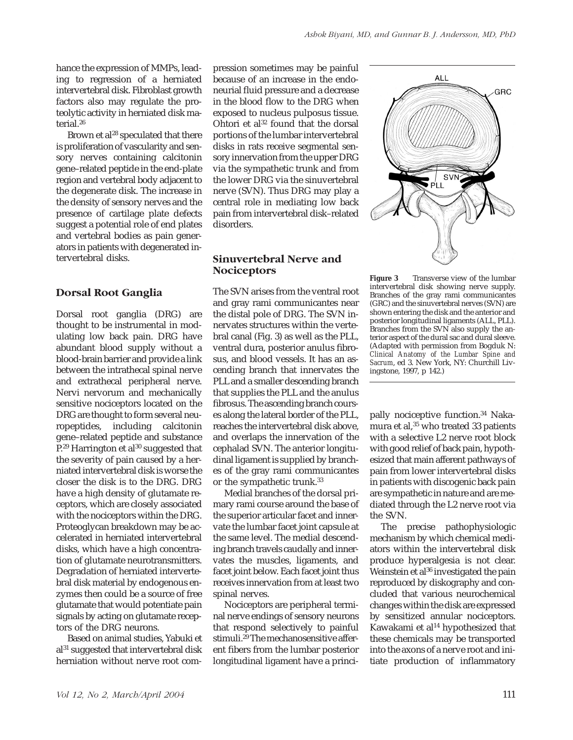hance the expression of MMPs, leading to regression of a herniated intervertebral disk. Fibroblast growth factors also may regulate the proteolytic activity in herniated disk material.26

Brown et al<sup>28</sup> speculated that there is proliferation of vascularity and sensory nerves containing calcitonin gene–related peptide in the end-plate region and vertebral body adjacent to the degenerate disk. The increase in the density of sensory nerves and the presence of cartilage plate defects suggest a potential role of end plates and vertebral bodies as pain generators in patients with degenerated intervertebral disks.

## **Dorsal Root Ganglia**

Dorsal root ganglia (DRG) are thought to be instrumental in modulating low back pain. DRG have abundant blood supply without a blood-brain barrier and provide a link between the intrathecal spinal nerve and extrathecal peripheral nerve. Nervi nervorum and mechanically sensitive nociceptors located on the DRG are thought to form several neuropeptides, including calcitonin gene–related peptide and substance  $P<sup>29</sup>$  Harrington et al<sup>30</sup> suggested that the severity of pain caused by a herniated intervertebral disk is worse the closer the disk is to the DRG. DRG have a high density of glutamate receptors, which are closely associated with the nociceptors within the DRG. Proteoglycan breakdown may be accelerated in herniated intervertebral disks, which have a high concentration of glutamate neurotransmitters. Degradation of herniated intervertebral disk material by endogenous enzymes then could be a source of free glutamate that would potentiate pain signals by acting on glutamate receptors of the DRG neurons.

Based on animal studies, Yabuki et al31 suggested that intervertebral disk herniation without nerve root com-

pression sometimes may be painful because of an increase in the endoneurial fluid pressure and a decrease in the blood flow to the DRG when exposed to nucleus pulposus tissue. Ohtori et al<sup>32</sup> found that the dorsal portions of the lumbar intervertebral disks in rats receive segmental sensory innervation from the upper DRG via the sympathetic trunk and from the lower DRG via the sinuvertebral nerve (SVN). Thus DRG may play a central role in mediating low back pain from intervertebral disk–related disorders.

## **Sinuvertebral Nerve and Nociceptors**

The SVN arises from the ventral root and gray rami communicantes near the distal pole of DRG. The SVN innervates structures within the vertebral canal (Fig. 3) as well as the PLL, ventral dura, posterior anulus fibrosus, and blood vessels. It has an ascending branch that innervates the PLL and a smaller descending branch that supplies the PLL and the anulus fibrosus. The ascending branch courses along the lateral border of the PLL, reaches the intervertebral disk above, and overlaps the innervation of the cephalad SVN. The anterior longitudinal ligament is supplied by branches of the gray rami communicantes or the sympathetic trunk.33

Medial branches of the dorsal primary rami course around the base of the superior articular facet and innervate the lumbar facet joint capsule at the same level. The medial descending branch travels caudally and innervates the muscles, ligaments, and facet joint below. Each facet joint thus receives innervation from at least two spinal nerves.

Nociceptors are peripheral terminal nerve endings of sensory neurons that respond selectively to painful stimuli.29 The mechanosensitive afferent fibers from the lumbar posterior longitudinal ligament have a princi-



Figure 3 Transverse view of the lumbar intervertebral disk showing nerve supply. Branches of the gray rami communicantes (GRC) and the sinuvertebral nerves (SVN) are shown entering the disk and the anterior and posterior longitudinal ligaments (ALL, PLL). Branches from the SVN also supply the anterior aspect of the dural sac and dural sleeve. (Adapted with permission from Bogduk N: *Clinical Anatomy of the Lumbar Spine and Sacrum*, ed 3. New York, NY: Churchill Livingstone, 1997, p 142.)

pally nociceptive function.<sup>34</sup> Nakamura et al,<sup>35</sup> who treated 33 patients with a selective L2 nerve root block with good relief of back pain, hypothesized that main afferent pathways of pain from lower intervertebral disks in patients with discogenic back pain are sympathetic in nature and are mediated through the L2 nerve root via the SVN.

The precise pathophysiologic mechanism by which chemical mediators within the intervertebral disk produce hyperalgesia is not clear. Weinstein et al<sup>36</sup> investigated the pain reproduced by diskography and concluded that various neurochemical changes within the disk are expressed by sensitized annular nociceptors. Kawakami et al<sup>14</sup> hypothesized that these chemicals may be transported into the axons of a nerve root and initiate production of inflammatory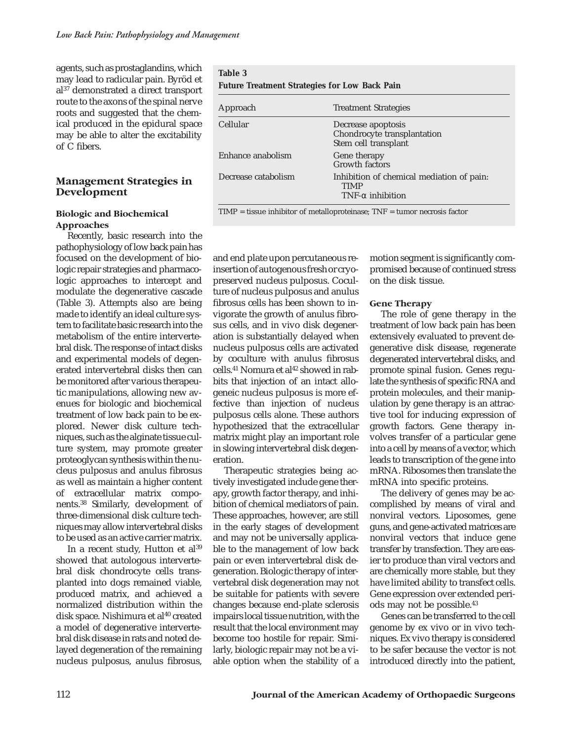agents, such as prostaglandins, which may lead to radicular pain. Byröd et al37 demonstrated a direct transport route to the axons of the spinal nerve roots and suggested that the chemical produced in the epidural space may be able to alter the excitability of C fibers.

## **Management Strategies in Development**

#### **Biologic and Biochemical Approaches**

Recently, basic research into the pathophysiology of low back pain has focused on the development of biologic repair strategies and pharmacologic approaches to intercept and modulate the degenerative cascade (Table 3). Attempts also are being made to identify an ideal culture system to facilitate basic research into the metabolism of the entire intervertebral disk. The response of intact disks and experimental models of degenerated intervertebral disks then can be monitored after various therapeutic manipulations, allowing new avenues for biologic and biochemical treatment of low back pain to be explored. Newer disk culture techniques, such as the alginate tissue culture system, may promote greater proteoglycan synthesis within the nucleus pulposus and anulus fibrosus as well as maintain a higher content of extracellular matrix components.38 Similarly, development of three-dimensional disk culture techniques may allow intervertebral disks to be used as an active carrier matrix.

In a recent study, Hutton et al<sup>39</sup> showed that autologous intervertebral disk chondrocyte cells transplanted into dogs remained viable, produced matrix, and achieved a normalized distribution within the disk space. Nishimura et al<sup>40</sup> created a model of degenerative intervertebral disk disease in rats and noted delayed degeneration of the remaining nucleus pulposus, anulus fibrosus,

| Table 3                                              |                                                                               |  |  |  |
|------------------------------------------------------|-------------------------------------------------------------------------------|--|--|--|
| <b>Future Treatment Strategies for Low Back Pain</b> |                                                                               |  |  |  |
| Approach                                             | <b>Treatment Strategies</b>                                                   |  |  |  |
| Cellular                                             | Decrease apoptosis<br>Chondrocyte transplantation<br>Stem cell transplant     |  |  |  |
| Enhance anabolism                                    | Gene therapy<br>Growth factors                                                |  |  |  |
| Decrease catabolism                                  | Inhibition of chemical mediation of pain:<br>TIMP<br>$TNF-\alpha$ inhibition  |  |  |  |
|                                                      | $TIME = tissue$ inhibitor of metalloproteinase; $TNF =$ tumor necrosis factor |  |  |  |

and end plate upon percutaneous reinsertion of autogenous fresh or cryopreserved nucleus pulposus. Coculture of nucleus pulposus and anulus fibrosus cells has been shown to invigorate the growth of anulus fibrosus cells, and in vivo disk degeneration is substantially delayed when nucleus pulposus cells are activated by coculture with anulus fibrosus cells.<sup>41</sup> Nomura et al<sup>42</sup> showed in rabbits that injection of an intact allogeneic nucleus pulposus is more effective than injection of nucleus pulposus cells alone. These authors hypothesized that the extracellular matrix might play an important role in slowing intervertebral disk degeneration.

Therapeutic strategies being actively investigated include gene therapy, growth factor therapy, and inhibition of chemical mediators of pain. These approaches, however, are still in the early stages of development and may not be universally applicable to the management of low back pain or even intervertebral disk degeneration. Biologic therapy of intervertebral disk degeneration may not be suitable for patients with severe changes because end-plate sclerosis impairs local tissue nutrition, with the result that the local environment may become too hostile for repair. Similarly, biologic repair may not be a viable option when the stability of a

motion segment is significantly compromised because of continued stress on the disk tissue.

#### **Gene Therapy**

The role of gene therapy in the treatment of low back pain has been extensively evaluated to prevent degenerative disk disease, regenerate degenerated intervertebral disks, and promote spinal fusion. Genes regulate the synthesis of specific RNA and protein molecules, and their manipulation by gene therapy is an attractive tool for inducing expression of growth factors. Gene therapy involves transfer of a particular gene into a cell by means of a vector, which leads to transcription of the gene into mRNA. Ribosomes then translate the mRNA into specific proteins.

The delivery of genes may be accomplished by means of viral and nonviral vectors. Liposomes, gene guns, and gene-activated matrices are nonviral vectors that induce gene transfer by transfection. They are easier to produce than viral vectors and are chemically more stable, but they have limited ability to transfect cells. Gene expression over extended periods may not be possible.43

Genes can be transferred to the cell genome by ex vivo or in vivo techniques. Ex vivo therapy is considered to be safer because the vector is not introduced directly into the patient,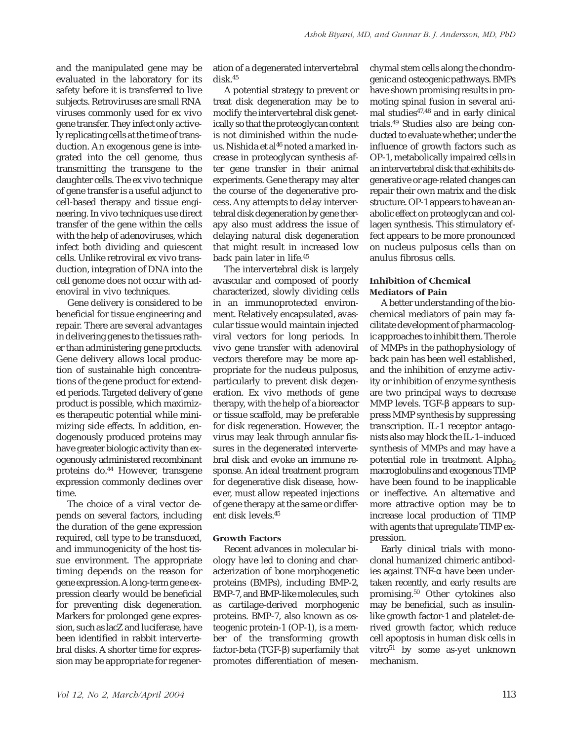and the manipulated gene may be evaluated in the laboratory for its safety before it is transferred to live subjects. Retroviruses are small RNA viruses commonly used for ex vivo gene transfer. They infect only actively replicating cells at the time of transduction. An exogenous gene is integrated into the cell genome, thus transmitting the transgene to the daughter cells. The ex vivo technique of gene transfer is a useful adjunct to cell-based therapy and tissue engineering. In vivo techniques use direct transfer of the gene within the cells with the help of adenoviruses, which infect both dividing and quiescent cells. Unlike retroviral ex vivo transduction, integration of DNA into the cell genome does not occur with adenoviral in vivo techniques.

Gene delivery is considered to be beneficial for tissue engineering and repair. There are several advantages in delivering genes to the tissues rather than administering gene products. Gene delivery allows local production of sustainable high concentrations of the gene product for extended periods. Targeted delivery of gene product is possible, which maximizes therapeutic potential while minimizing side effects. In addition, endogenously produced proteins may have greater biologic activity than exogenously administered recombinant proteins do.44 However, transgene expression commonly declines over time.

The choice of a viral vector depends on several factors, including the duration of the gene expression required, cell type to be transduced, and immunogenicity of the host tissue environment. The appropriate timing depends on the reason for gene expression.Along-term gene expression clearly would be beneficial for preventing disk degeneration. Markers for prolonged gene expression, such as lacZ and luciferase, have been identified in rabbit intervertebral disks. A shorter time for expression may be appropriate for regeneration of a degenerated intervertebral disk.45

A potential strategy to prevent or treat disk degeneration may be to modify the intervertebral disk genetically so that the proteoglycan content is not diminished within the nucleus. Nishida et al<sup>46</sup> noted a marked increase in proteoglycan synthesis after gene transfer in their animal experiments. Gene therapy may alter the course of the degenerative process. Any attempts to delay intervertebral disk degeneration by gene therapy also must address the issue of delaying natural disk degeneration that might result in increased low back pain later in life.45

The intervertebral disk is largely avascular and composed of poorly characterized, slowly dividing cells in an immunoprotected environment. Relatively encapsulated, avascular tissue would maintain injected viral vectors for long periods. In vivo gene transfer with adenoviral vectors therefore may be more appropriate for the nucleus pulposus, particularly to prevent disk degeneration. Ex vivo methods of gene therapy, with the help of a bioreactor or tissue scaffold, may be preferable for disk regeneration. However, the virus may leak through annular fissures in the degenerated intervertebral disk and evoke an immune response. An ideal treatment program for degenerative disk disease, however, must allow repeated injections of gene therapy at the same or different disk levels.45

### **Growth Factors**

Recent advances in molecular biology have led to cloning and characterization of bone morphogenetic proteins (BMPs), including BMP-2, BMP-7, and BMP-like molecules, such as cartilage-derived morphogenic proteins. BMP-7, also known as osteogenic protein-1 (OP-1), is a member of the transforming growth factor-beta (TGF-β) superfamily that promotes differentiation of mesen-

chymal stem cells along the chondrogenic and osteogenic pathways. BMPs have shown promising results in promoting spinal fusion in several animal studies47,48 and in early clinical trials.49 Studies also are being conducted to evaluate whether, under the influence of growth factors such as OP-1, metabolically impaired cells in an intervertebral disk that exhibits degenerative or age-related changes can repair their own matrix and the disk structure. OP-1 appears to have an anabolic effect on proteoglycan and collagen synthesis. This stimulatory effect appears to be more pronounced on nucleus pulposus cells than on anulus fibrosus cells.

#### **Inhibition of Chemical Mediators of Pain**

A better understanding of the biochemical mediators of pain may facilitate development of pharmacologic approaches to inhibit them. The role of MMPs in the pathophysiology of back pain has been well established, and the inhibition of enzyme activity or inhibition of enzyme synthesis are two principal ways to decrease MMP levels. TGF-β appears to suppress MMP synthesis by suppressing transcription. IL-1 receptor antagonists also may block the IL-1–induced synthesis of MMPs and may have a potential role in treatment. Alpha<sub>2</sub> macroglobulins and exogenous TIMP have been found to be inapplicable or ineffective. An alternative and more attractive option may be to increase local production of TIMP with agents that upregulate TIMP expression.

Early clinical trials with monoclonal humanized chimeric antibodies against TNF-α have been undertaken recently, and early results are promising.50 Other cytokines also may be beneficial, such as insulinlike growth factor-1 and platelet-derived growth factor, which reduce cell apoptosis in human disk cells in vitro<sup>51</sup> by some as-yet unknown mechanism.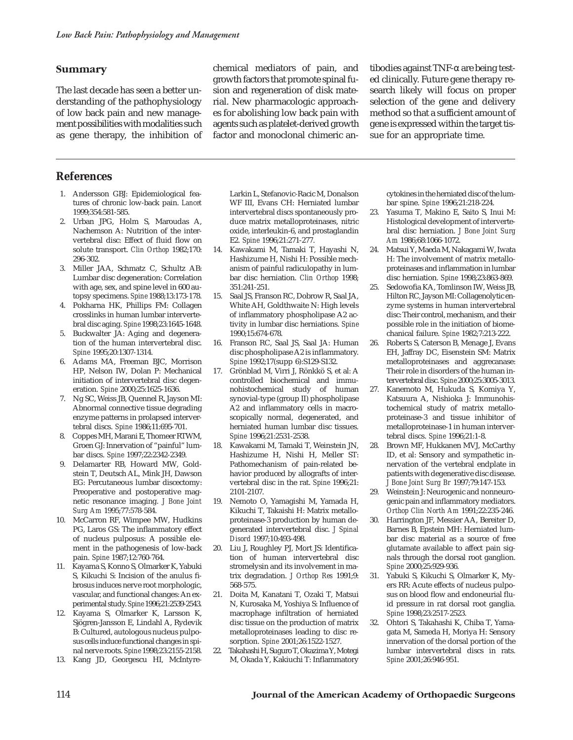### **Summary**

The last decade has seen a better understanding of the pathophysiology of low back pain and new management possibilities with modalities such as gene therapy, the inhibition of

chemical mediators of pain, and growth factors that promote spinal fusion and regeneration of disk material. New pharmacologic approaches for abolishing low back pain with agents such as platelet-derived growth factor and monoclonal chimeric an-

tibodies against TNF-α are being tested clinically. Future gene therapy research likely will focus on proper selection of the gene and delivery method so that a sufficient amount of gene is expressed within the target tissue for an appropriate time.

# **References**

- 1. Andersson GBJ: Epidemiological features of chronic low-back pain. *Lancet* 1999;354:581-585.
- 2. Urban JPG, Holm S, Maroudas A, Nachemson A: Nutrition of the intervertebral disc: Effect of fluid flow on solute transport. *Clin Orthop* 1982;170: 296-302.
- 3. Miller JAA, Schmatz C, Schultz AB: Lumbar disc degeneration: Correlation with age, sex, and spine level in 600 autopsy specimens. *Spine* 1988;13:173-178.
- 4. Pokharna HK, Phillips FM: Collagen crosslinks in human lumbar intervertebral disc aging. *Spine* 1998;23:1645-1648.
- 5. Buckwalter JA: Aging and degeneration of the human intervertebral disc. *Spine* 1995;20:1307-1314.
- 6. Adams MA, Freeman BJC, Morrison HP, Nelson IW, Dolan P: Mechanical initiation of intervertebral disc degeneration. *Spine* 2000;25:1625-1636.
- 7. Ng SC, Weiss JB, Quennel R, Jayson MI: Abnormal connective tissue degrading enzyme patterns in prolapsed intervertebral discs. *Spine* 1986;11:695-701.
- 8. Coppes MH, Marani E, Thomeer RTWM, Groen GJ: Innervation of "painful" lumbar discs. *Spine* 1997;22:2342-2349.
- 9. Delamarter RB, Howard MW, Goldstein T, Deutsch AL, Mink JH, Dawson EG: Percutaneous lumbar discectomy: Preoperative and postoperative magnetic resonance imaging. *J Bone Joint Surg Am* 1995;77:578-584.
- 10. McCarron RF, Wimpee MW, Hudkins PG, Laros GS: The inflammatory effect of nucleus pulposus: A possible element in the pathogenesis of low-back pain. *Spine* 1987;12:760-764.
- 11. Kayama S, Konno S, Olmarker K, Yabuki S, Kikuchi S: Incision of the anulus fibrosus induces nerve root morphologic, vascular, and functional changes: An experimental study. *Spine* 1996;21:2539-2543.
- 12. Kayama S, Olmarker K, Larsson K, Sjögren-Jansson E, Lindahl A, Rydevik B: Cultured, autologous nucleus pulposus cells induce functional changes in spinal nerve roots. *Spine* 1998;23:2155-2158.
- 13. Kang JD, Georgescu HI, McIntyre-

Larkin L, Stefanovic-Racic M, Donalson WF III, Evans CH: Herniated lumbar intervertebral discs spontaneously produce matrix metalloproteinases, nitric oxide, interleukin-6, and prostaglandin E2. *Spine* 1996;21:271-277.

- 14. Kawakami M, Tamaki T, Hayashi N, Hashizume H, Nishi H: Possible mechanism of painful radiculopathy in lumbar disc herniation. *Clin Orthop* 1998; 351:241-251.
- 15. Saal JS, Franson RC, Dobrow R, Saal JA, White AH, Goldthwaite N: High levels of inflammatory phospholipase A2 activity in lumbar disc herniations. *Spine* 1990;15:674-678.
- 16. Franson RC, Saal JS, Saal JA: Human disc phospholipase A2 is inflammatory. *Spine* 1992;17(supp 6):S129-S132.
- 17. Grönblad M, Virri J, Rönkkö S, et al: A controlled biochemical and immunohistochemical study of human synovial-type (group II) phospholipase A2 and inflammatory cells in macroscopically normal, degenerated, and herniated human lumbar disc tissues. *Spine* 1996;21:2531-2538.
- 18. Kawakami M, Tamaki T, Weinstein JN, Hashizume H, Nishi H, Meller ST: Pathomechanism of pain-related behavior produced by allografts of intervertebral disc in the rat. *Spine* 1996;21: 2101-2107.
- 19. Nemoto O, Yamagishi M, Yamada H, Kikuchi T, Takaishi H: Matrix metalloproteinase-3 production by human degenerated intervertebral disc. *J Spinal Disord* 1997;10:493-498.
- 20. Liu J, Roughley PJ, Mort JS: Identification of human intervertebral disc stromelysin and its involvement in matrix degradation. *J Orthop Res* 1991;9: 568-575.
- 21. Doita M, Kanatani T, Ozaki T, Matsui N, Kurosaka M, Yoshiya S: Influence of macrophage infiltration of herniated disc tissue on the production of matrix metalloproteinases leading to disc resorption. *Spine* 2001;26:1522-1527.
- 22. Takahashi H, Suguro T, OkazimaY, Motegi M, Okada Y, Kakiuchi T: Inflammatory

cytokines in the herniated disc of the lumbar spine. *Spine* 1996;21:218-224.

- 23. Yasuma T, Makino E, Saito S, Inui M: Histological development of intervertebral disc herniation. *J Bone Joint Surg Am* 1986;68:1066-1072.
- 24. Matsui Y, Maeda M, Nakagami W, Iwata H: The involvement of matrix metalloproteinases and inflammation in lumbar disc herniation. *Spine* 1998;23:863-869.
- 25. Sedowofia KA, Tomlinson IW, Weiss JB, Hilton RC, Jayson MI: Collagenolytic enzyme systems in human intervertebral disc: Their control, mechanism, and their possible role in the initiation of biomechanical failure. *Spine* 1982;7:213-222.
- 26. Roberts S, Caterson B, Menage J, Evans EH, Jaffray DC, Eisenstein SM: Matrix metalloproteinases and aggrecanase: Their role in disorders of the human intervertebral disc. *Spine* 2000;25:3005-3013.
- 27. Kanemoto M, Hukuda S, Komiya Y, Katsuura A, Nishioka J: Immunohistochemical study of matrix metalloproteinase-3 and tissue inhibitor of metalloproteinase-1 in human intervertebral discs. *Spine* 1996;21:1-8.
- 28. Brown MF, Hukkanen MVJ, McCarthy ID, et al: Sensory and sympathetic innervation of the vertebral endplate in patients with degenerative disc disease. *J Bone Joint Surg Br* 1997;79:147-153.
- 29. Weinstein J: Neurogenic and nonneurogenic pain and inflammatory mediators. *Orthop Clin North Am* 1991;22:235-246.
- 30. Harrington JF, Messier AA, Bereiter D, Barnes B, Epstein MH: Herniated lumbar disc material as a source of free glutamate available to affect pain signals through the dorsal root ganglion. *Spine* 2000;25:929-936.
- 31. Yabuki S, Kikuchi S, Olmarker K, Myers RR: Acute effects of nucleus pulposus on blood flow and endoneurial fluid pressure in rat dorsal root ganglia. *Spine* 1998;23:2517-2523.
- 32. Ohtori S, Takahashi K, Chiba T, Yamagata M, Sameda H, Moriya H: Sensory innervation of the dorsal portion of the lumbar intervertebral discs in rats. *Spine* 2001;26:946-951.